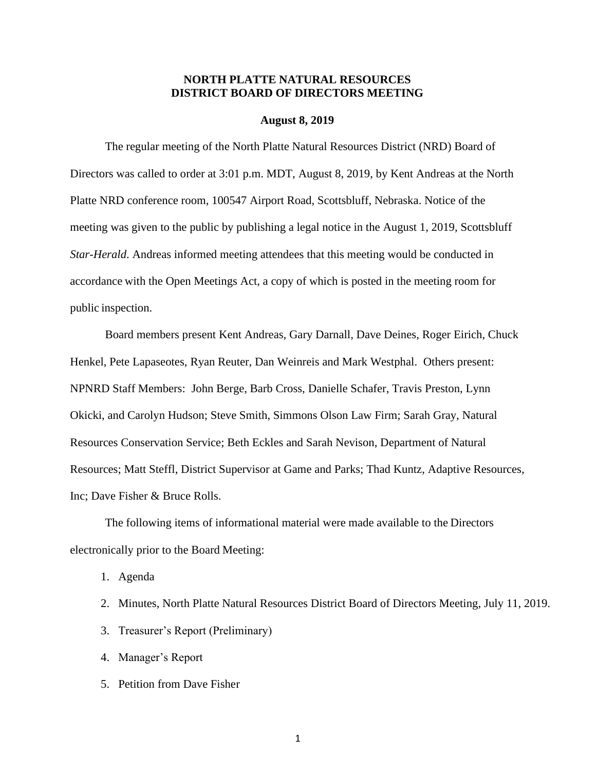# **NORTH PLATTE NATURAL RESOURCES DISTRICT BOARD OF DIRECTORS MEETING**

#### **August 8, 2019**

The regular meeting of the North Platte Natural Resources District (NRD) Board of Directors was called to order at 3:01 p.m. MDT, August 8, 2019, by Kent Andreas at the North Platte NRD conference room, 100547 Airport Road, Scottsbluff, Nebraska. Notice of the meeting was given to the public by publishing a legal notice in the August 1, 2019, Scottsbluff *Star-Herald*. Andreas informed meeting attendees that this meeting would be conducted in accordance with the Open Meetings Act, a copy of which is posted in the meeting room for public inspection.

Board members present Kent Andreas, Gary Darnall, Dave Deines, Roger Eirich, Chuck Henkel, Pete Lapaseotes, Ryan Reuter, Dan Weinreis and Mark Westphal. Others present: NPNRD Staff Members: John Berge, Barb Cross, Danielle Schafer, Travis Preston, Lynn Okicki, and Carolyn Hudson; Steve Smith, Simmons Olson Law Firm; Sarah Gray, Natural Resources Conservation Service; Beth Eckles and Sarah Nevison, Department of Natural Resources; Matt Steffl, District Supervisor at Game and Parks; Thad Kuntz, Adaptive Resources, Inc; Dave Fisher & Bruce Rolls.

The following items of informational material were made available to the Directors electronically prior to the Board Meeting:

1. Agenda

- 2. Minutes, North Platte Natural Resources District Board of Directors Meeting, July 11, 2019.
- 3. Treasurer's Report (Preliminary)
- 4. Manager's Report
- 5. Petition from Dave Fisher

1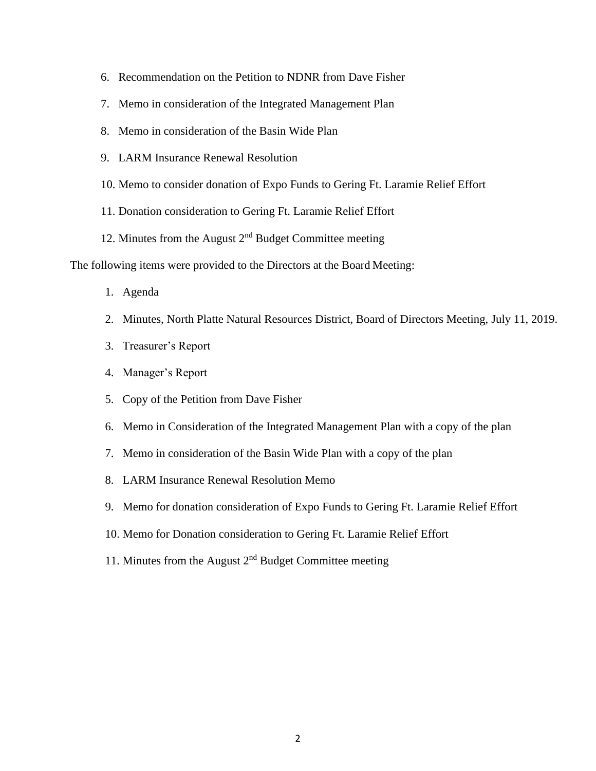- 6. Recommendation on the Petition to NDNR from Dave Fisher
- 7. Memo in consideration of the Integrated Management Plan
- 8. Memo in consideration of the Basin Wide Plan
- 9. LARM Insurance Renewal Resolution
- 10. Memo to consider donation of Expo Funds to Gering Ft. Laramie Relief Effort
- 11. Donation consideration to Gering Ft. Laramie Relief Effort
- 12. Minutes from the August 2nd Budget Committee meeting

The following items were provided to the Directors at the Board Meeting:

- 1. Agenda
- 2. Minutes, North Platte Natural Resources District, Board of Directors Meeting, July 11, 2019.
- 3. Treasurer's Report
- 4. Manager's Report
- 5. Copy of the Petition from Dave Fisher
- 6. Memo in Consideration of the Integrated Management Plan with a copy of the plan
- 7. Memo in consideration of the Basin Wide Plan with a copy of the plan
- 8. LARM Insurance Renewal Resolution Memo
- 9. Memo for donation consideration of Expo Funds to Gering Ft. Laramie Relief Effort
- 10. Memo for Donation consideration to Gering Ft. Laramie Relief Effort
- 11. Minutes from the August 2nd Budget Committee meeting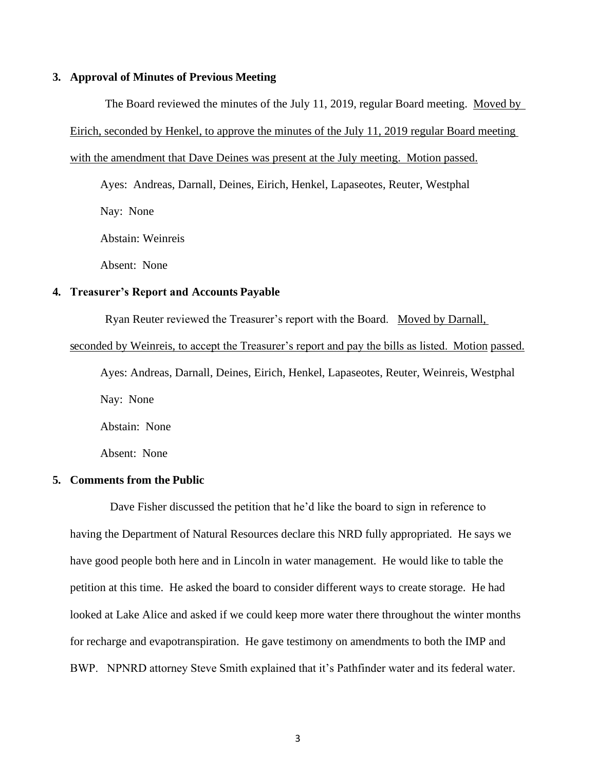### **3. Approval of Minutes of Previous Meeting**

The Board reviewed the minutes of the July 11, 2019, regular Board meeting. Moved by Eirich, seconded by Henkel, to approve the minutes of the July 11, 2019 regular Board meeting with the amendment that Dave Deines was present at the July meeting. Motion passed.

Ayes: Andreas, Darnall, Deines, Eirich, Henkel, Lapaseotes, Reuter, Westphal Nay: None

Abstain: Weinreis

Absent: None

# **4. Treasurer's Report and Accounts Payable**

Ryan Reuter reviewed the Treasurer's report with the Board. Moved by Darnall,

#### seconded by Weinreis, to accept the Treasurer's report and pay the bills as listed. Motion passed.

Ayes: Andreas, Darnall, Deines, Eirich, Henkel, Lapaseotes, Reuter, Weinreis, Westphal Nay: None Abstain: None

Absent: None

### **5. Comments from the Public**

Dave Fisher discussed the petition that he'd like the board to sign in reference to having the Department of Natural Resources declare this NRD fully appropriated. He says we have good people both here and in Lincoln in water management. He would like to table the petition at this time. He asked the board to consider different ways to create storage. He had looked at Lake Alice and asked if we could keep more water there throughout the winter months for recharge and evapotranspiration. He gave testimony on amendments to both the IMP and BWP. NPNRD attorney Steve Smith explained that it's Pathfinder water and its federal water.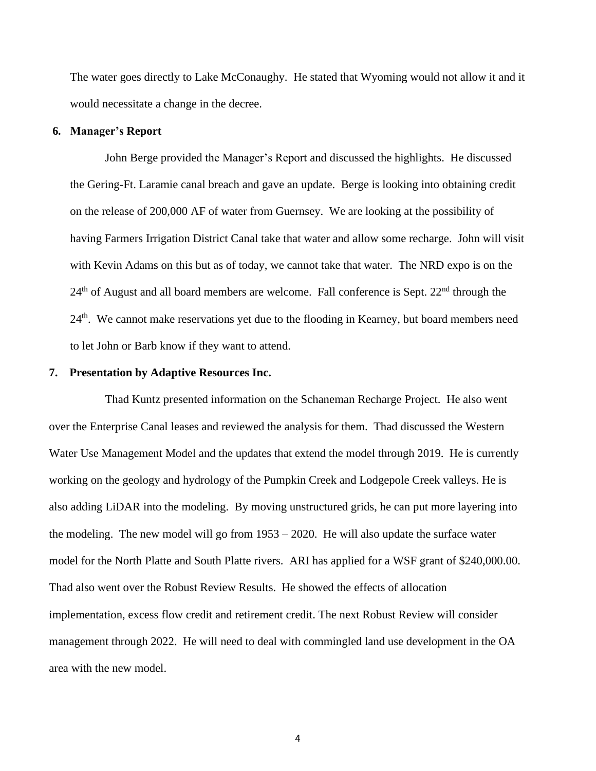The water goes directly to Lake McConaughy. He stated that Wyoming would not allow it and it would necessitate a change in the decree.

#### **6. Manager's Report**

John Berge provided the Manager's Report and discussed the highlights. He discussed the Gering-Ft. Laramie canal breach and gave an update. Berge is looking into obtaining credit on the release of 200,000 AF of water from Guernsey. We are looking at the possibility of having Farmers Irrigation District Canal take that water and allow some recharge. John will visit with Kevin Adams on this but as of today, we cannot take that water. The NRD expo is on the  $24<sup>th</sup>$  of August and all board members are welcome. Fall conference is Sept.  $22<sup>nd</sup>$  through the  $24<sup>th</sup>$ . We cannot make reservations yet due to the flooding in Kearney, but board members need to let John or Barb know if they want to attend.

#### **7. Presentation by Adaptive Resources Inc.**

Thad Kuntz presented information on the Schaneman Recharge Project. He also went over the Enterprise Canal leases and reviewed the analysis for them. Thad discussed the Western Water Use Management Model and the updates that extend the model through 2019. He is currently working on the geology and hydrology of the Pumpkin Creek and Lodgepole Creek valleys. He is also adding LiDAR into the modeling. By moving unstructured grids, he can put more layering into the modeling. The new model will go from 1953 – 2020. He will also update the surface water model for the North Platte and South Platte rivers. ARI has applied for a WSF grant of \$240,000.00. Thad also went over the Robust Review Results. He showed the effects of allocation implementation, excess flow credit and retirement credit. The next Robust Review will consider management through 2022. He will need to deal with commingled land use development in the OA area with the new model.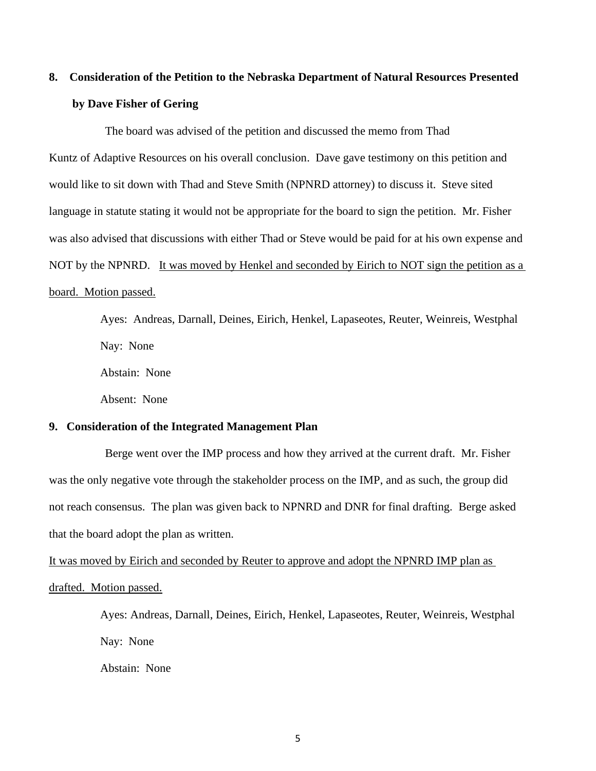# **8. Consideration of the Petition to the Nebraska Department of Natural Resources Presented by Dave Fisher of Gering**

The board was advised of the petition and discussed the memo from Thad Kuntz of Adaptive Resources on his overall conclusion. Dave gave testimony on this petition and would like to sit down with Thad and Steve Smith (NPNRD attorney) to discuss it. Steve sited language in statute stating it would not be appropriate for the board to sign the petition. Mr. Fisher was also advised that discussions with either Thad or Steve would be paid for at his own expense and NOT by the NPNRD. It was moved by Henkel and seconded by Eirich to NOT sign the petition as a board. Motion passed.

> Ayes: Andreas, Darnall, Deines, Eirich, Henkel, Lapaseotes, Reuter, Weinreis, Westphal Nay: None Abstain: None Absent: None

# **9. Consideration of the Integrated Management Plan**

Berge went over the IMP process and how they arrived at the current draft. Mr. Fisher was the only negative vote through the stakeholder process on the IMP, and as such, the group did not reach consensus. The plan was given back to NPNRD and DNR for final drafting. Berge asked that the board adopt the plan as written.

It was moved by Eirich and seconded by Reuter to approve and adopt the NPNRD IMP plan as drafted. Motion passed.

> Ayes: Andreas, Darnall, Deines, Eirich, Henkel, Lapaseotes, Reuter, Weinreis, Westphal Nay: None

Abstain: None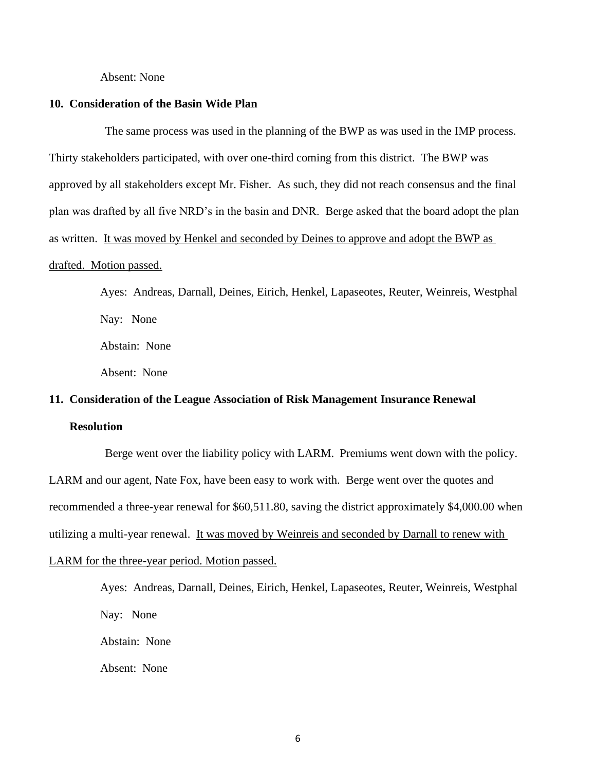#### Absent: None

#### **10. Consideration of the Basin Wide Plan**

The same process was used in the planning of the BWP as was used in the IMP process. Thirty stakeholders participated, with over one-third coming from this district. The BWP was approved by all stakeholders except Mr. Fisher. As such, they did not reach consensus and the final plan was drafted by all five NRD's in the basin and DNR. Berge asked that the board adopt the plan as written. It was moved by Henkel and seconded by Deines to approve and adopt the BWP as drafted. Motion passed.

> Ayes: Andreas, Darnall, Deines, Eirich, Henkel, Lapaseotes, Reuter, Weinreis, Westphal Nay: None Abstain: None Absent: None

# **11. Consideration of the League Association of Risk Management Insurance Renewal Resolution**

Berge went over the liability policy with LARM. Premiums went down with the policy. LARM and our agent, Nate Fox, have been easy to work with. Berge went over the quotes and recommended a three-year renewal for \$60,511.80, saving the district approximately \$4,000.00 when utilizing a multi-year renewal. It was moved by Weinreis and seconded by Darnall to renew with LARM for the three-year period. Motion passed.

> Ayes: Andreas, Darnall, Deines, Eirich, Henkel, Lapaseotes, Reuter, Weinreis, Westphal Nay: None Abstain: None Absent: None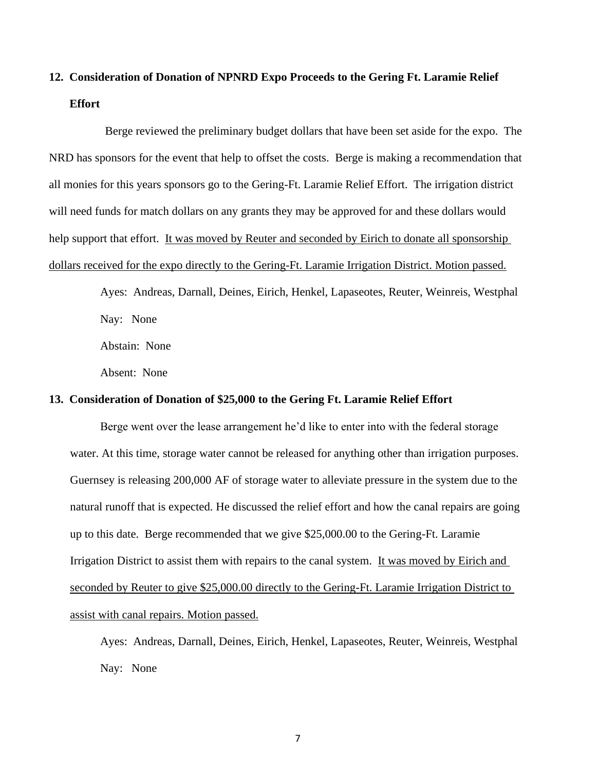# **12. Consideration of Donation of NPNRD Expo Proceeds to the Gering Ft. Laramie Relief Effort**

Berge reviewed the preliminary budget dollars that have been set aside for the expo. The NRD has sponsors for the event that help to offset the costs. Berge is making a recommendation that all monies for this years sponsors go to the Gering-Ft. Laramie Relief Effort. The irrigation district will need funds for match dollars on any grants they may be approved for and these dollars would help support that effort. It was moved by Reuter and seconded by Eirich to donate all sponsorship dollars received for the expo directly to the Gering-Ft. Laramie Irrigation District. Motion passed.

> Ayes: Andreas, Darnall, Deines, Eirich, Henkel, Lapaseotes, Reuter, Weinreis, Westphal Nay: None

Abstain: None

Absent: None

# **13. Consideration of Donation of \$25,000 to the Gering Ft. Laramie Relief Effort**

Berge went over the lease arrangement he'd like to enter into with the federal storage water. At this time, storage water cannot be released for anything other than irrigation purposes. Guernsey is releasing 200,000 AF of storage water to alleviate pressure in the system due to the natural runoff that is expected. He discussed the relief effort and how the canal repairs are going up to this date. Berge recommended that we give \$25,000.00 to the Gering-Ft. Laramie Irrigation District to assist them with repairs to the canal system. It was moved by Eirich and seconded by Reuter to give \$25,000.00 directly to the Gering-Ft. Laramie Irrigation District to assist with canal repairs. Motion passed.

Ayes: Andreas, Darnall, Deines, Eirich, Henkel, Lapaseotes, Reuter, Weinreis, Westphal Nay: None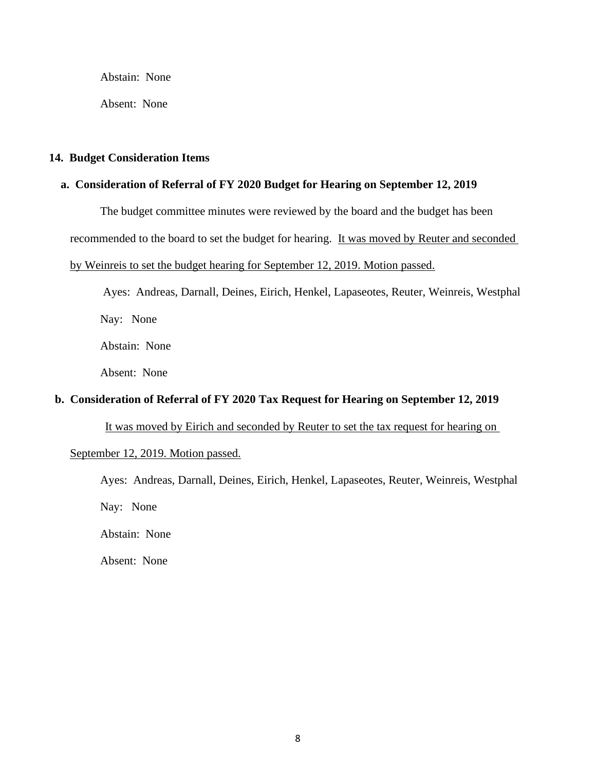Abstain: None

Absent: None

### **14. Budget Consideration Items**

# **a. Consideration of Referral of FY 2020 Budget for Hearing on September 12, 2019**

The budget committee minutes were reviewed by the board and the budget has been

recommended to the board to set the budget for hearing. It was moved by Reuter and seconded

#### by Weinreis to set the budget hearing for September 12, 2019. Motion passed.

Ayes: Andreas, Darnall, Deines, Eirich, Henkel, Lapaseotes, Reuter, Weinreis, Westphal Nay: None Abstain: None

Absent: None

# **b. Consideration of Referral of FY 2020 Tax Request for Hearing on September 12, 2019**

It was moved by Eirich and seconded by Reuter to set the tax request for hearing on

September 12, 2019. Motion passed.

Ayes: Andreas, Darnall, Deines, Eirich, Henkel, Lapaseotes, Reuter, Weinreis, Westphal

Nay: None

Abstain: None

Absent: None